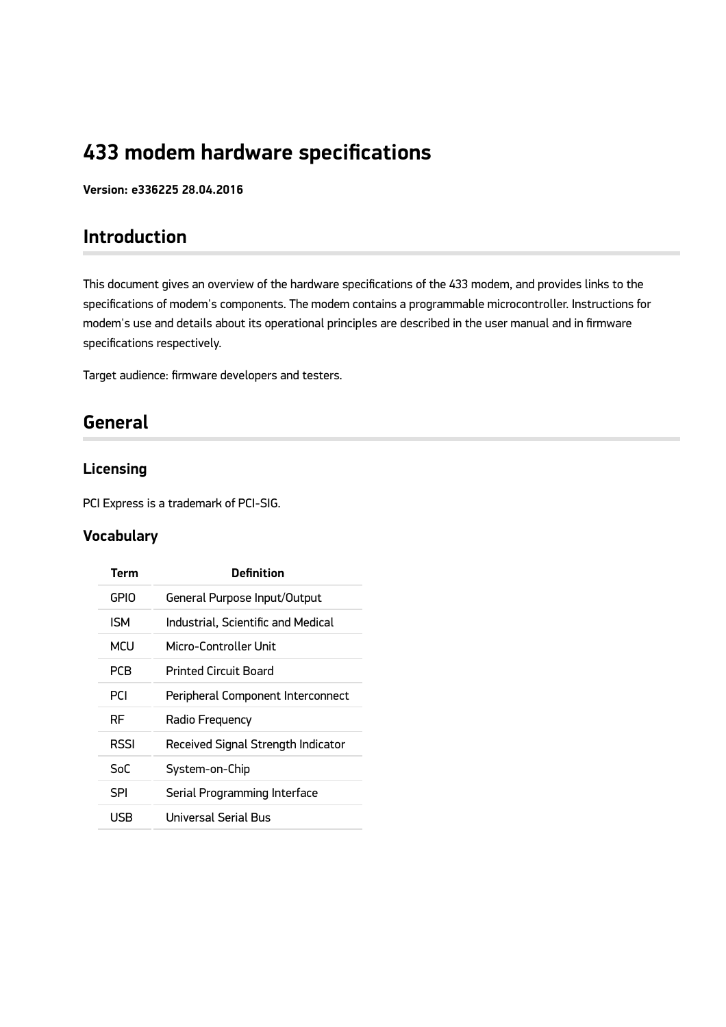# **433 modem hardware specifications**

**Version: e336225 28.04.2016**

## **Introduction**

This document gives an overview of the hardware specifications of the 433 modem, and provides links to the specifications of modem's components. The modem contains a programmable microcontroller. Instructions for modem's use and details about its operational principles are described in the user manual and in firmware specifications respectively.

Target audience: firmware developers and testers.

## **General**

### **Licensing**

PCI Express is a trademark of PCI-SIG.

### **Vocabulary**

| Term        | <b>Definition</b>                  |
|-------------|------------------------------------|
| <b>GPIO</b> | General Purpose Input/Output       |
| <b>ISM</b>  | Industrial, Scientific and Medical |
| MCU         | Micro-Controller Unit              |
| <b>PCB</b>  | <b>Printed Circuit Board</b>       |
| <b>PCI</b>  | Peripheral Component Interconnect  |
| RF          | Radio Frequency                    |
| <b>RSSI</b> | Received Signal Strength Indicator |
| SoC         | System-on-Chip                     |
| SPI         | Serial Programming Interface       |
| USB         | Universal Serial Bus               |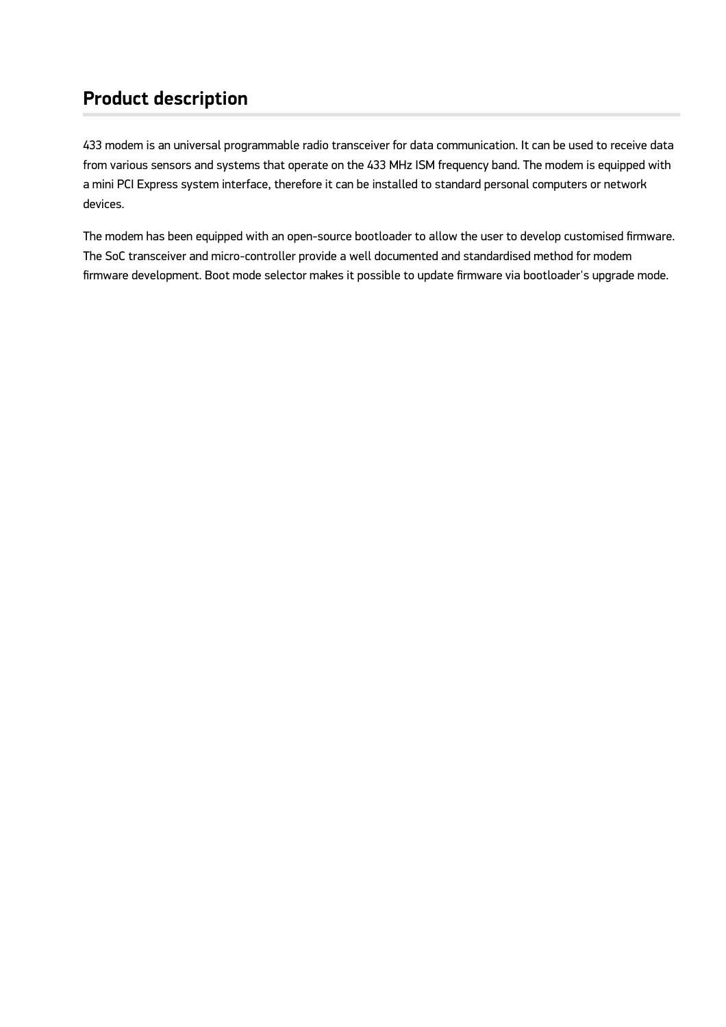## **Product description**

433 modem is an universal programmable radio transceiver for data communication. It can be used to receive data from various sensors and systems that operate on the 433 MHz ISM frequency band. The modem is equipped with a mini PCI Express system interface, therefore it can be installed to standard personal computers or network devices.

The modem has been equipped with an open-source bootloader to allow the user to develop customised firmware. The SoC transceiver and micro-controller provide a well documented and standardised method for modem firmware development. Boot mode selector makes it possible to update firmware via bootloader's upgrade mode.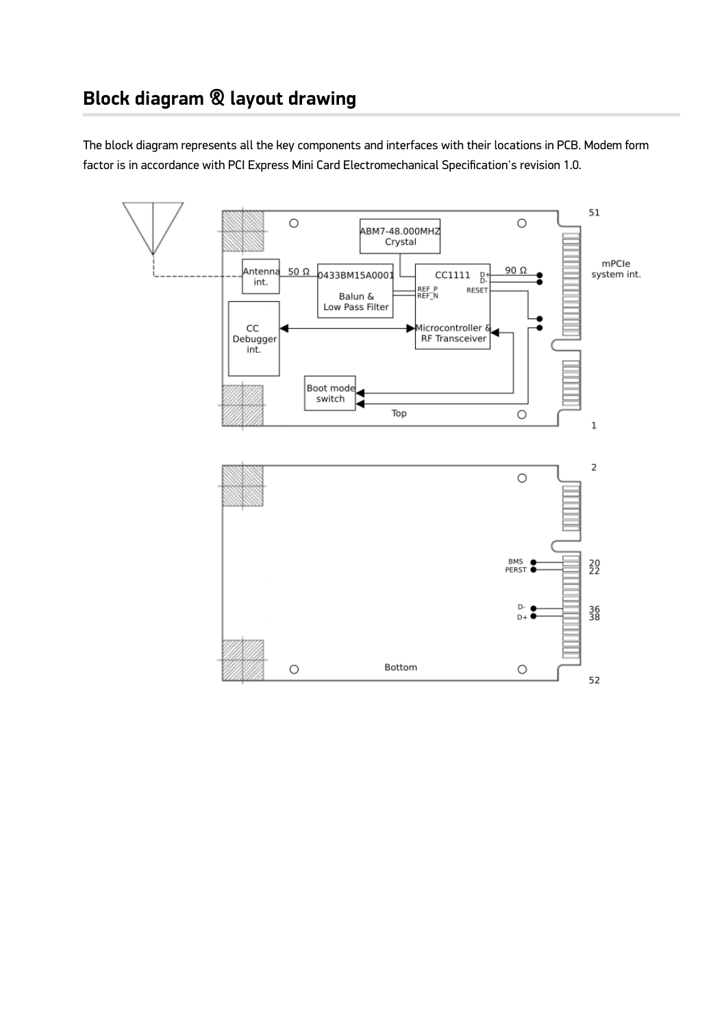The block diagram represents all the key components and interfaces with their locations in PCB. Modem form factor is in accordance with PCI Express Mini Card Electromechanical Specification's revision 1.0.

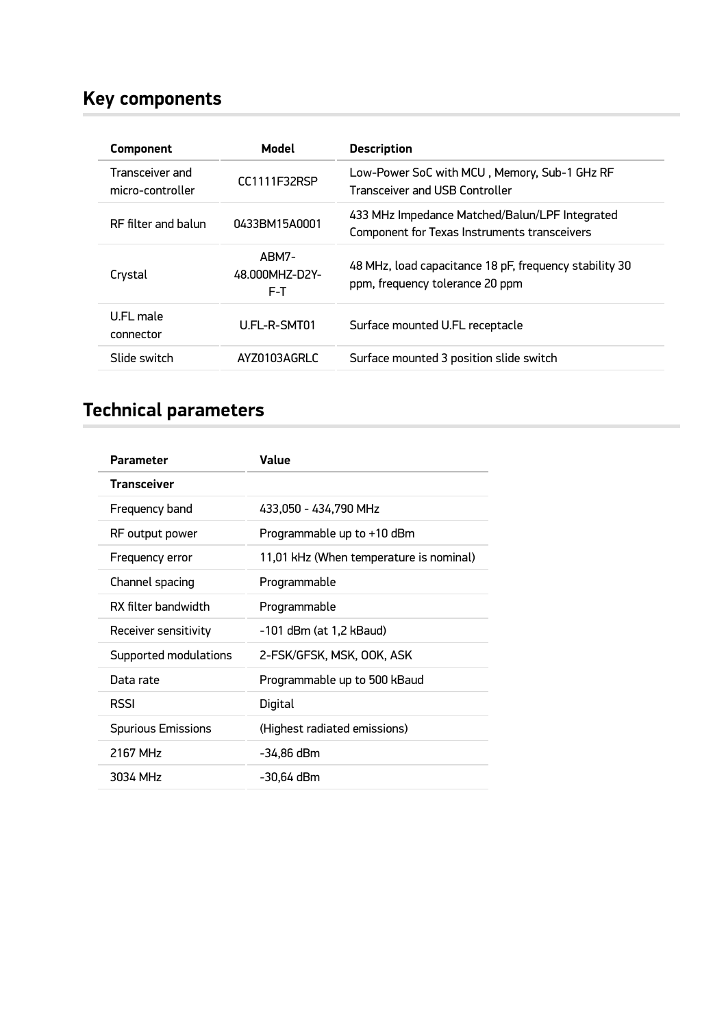# **Key components**

| <b>Component</b>                    | Model                          | <b>Description</b>                                                                             |
|-------------------------------------|--------------------------------|------------------------------------------------------------------------------------------------|
| Transceiver and<br>micro-controller | CC1111F32RSP                   | Low-Power SoC with MCU, Memory, Sub-1 GHz RF<br>Transceiver and USB Controller                 |
| RF filter and balun                 | 0433BM15A0001                  | 433 MHz Impedance Matched/Balun/LPF Integrated<br>Component for Texas Instruments transceivers |
| Crystal                             | ABM7-<br>48.000MHZ-D2Y-<br>F-T | 48 MHz, load capacitance 18 pF, frequency stability 30<br>ppm, frequency tolerance 20 ppm      |
| U.FL male<br>connector              | U.FL-R-SMT01                   | Surface mounted U.FL receptacle                                                                |
| Slide switch                        | AYZ0103AGRLC                   | Surface mounted 3 position slide switch                                                        |

# **Technical parameters**

| <b>Parameter</b>          | Value                                   |
|---------------------------|-----------------------------------------|
| <b>Transceiver</b>        |                                         |
| Frequency band            | 433,050 - 434,790 MHz                   |
| RF output power           | Programmable up to +10 dBm              |
| Frequency error           | 11,01 kHz (When temperature is nominal) |
| Channel spacing           | Programmable                            |
| RX filter bandwidth       | Programmable                            |
| Receiver sensitivity      | -101 dBm (at 1,2 kBaud)                 |
| Supported modulations     | 2-FSK/GFSK, MSK, OOK, ASK               |
| Data rate                 | Programmable up to 500 kBaud            |
| <b>RSSI</b>               | Digital                                 |
| <b>Spurious Emissions</b> | (Highest radiated emissions)            |
| 2167 MHz                  | -34,86 dBm                              |
| 3034 MHz                  | -30,64 dBm                              |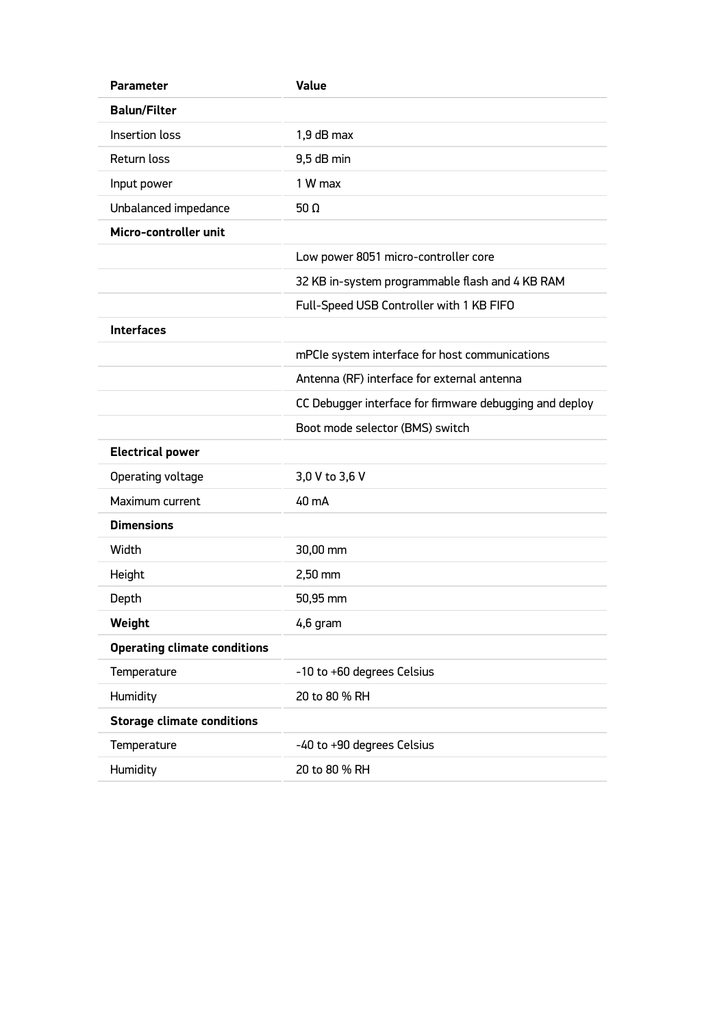| <b>Parameter</b>                    | <b>Value</b>                                            |
|-------------------------------------|---------------------------------------------------------|
| <b>Balun/Filter</b>                 |                                                         |
| Insertion loss                      | 1,9 dB max                                              |
| Return loss                         | 9,5 dB min                                              |
| Input power                         | 1 W max                                                 |
| Unbalanced impedance                | 50 $\Omega$                                             |
| Micro-controller unit               |                                                         |
|                                     | Low power 8051 micro-controller core                    |
|                                     | 32 KB in-system programmable flash and 4 KB RAM         |
|                                     | Full-Speed USB Controller with 1 KB FIFO                |
| <b>Interfaces</b>                   |                                                         |
|                                     | mPCIe system interface for host communications          |
|                                     | Antenna (RF) interface for external antenna             |
|                                     | CC Debugger interface for firmware debugging and deploy |
|                                     | Boot mode selector (BMS) switch                         |
| <b>Electrical power</b>             |                                                         |
| Operating voltage                   | 3,0 V to 3,6 V                                          |
| Maximum current                     | 40 mA                                                   |
| <b>Dimensions</b>                   |                                                         |
| Width                               | 30,00 mm                                                |
| Height                              | 2,50 mm                                                 |
| Depth                               | 50,95 mm                                                |
| Weight                              | 4,6 gram                                                |
| <b>Operating climate conditions</b> |                                                         |
| Temperature                         | -10 to +60 degrees Celsius                              |
| Humidity                            | 20 to 80 % RH                                           |
| <b>Storage climate conditions</b>   |                                                         |
| Temperature                         | -40 to +90 degrees Celsius                              |
| Humidity                            | 20 to 80 % RH                                           |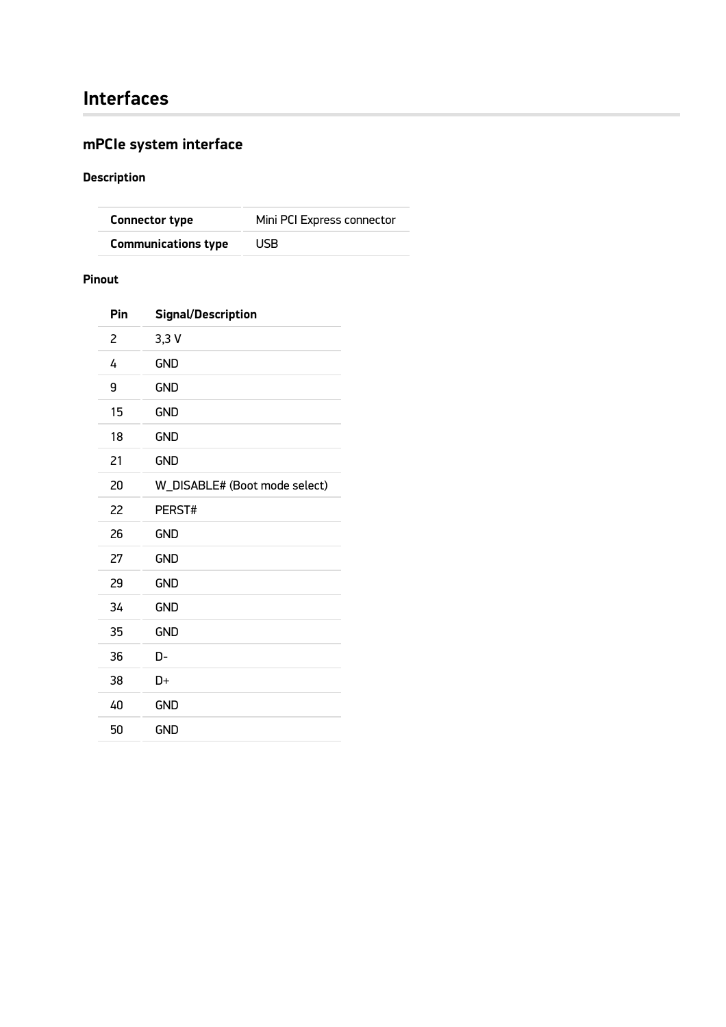## **Interfaces**

## **mPCIe system interface**

### **Description**

| <b>Connector type</b>      | Mini PCI Express connector |
|----------------------------|----------------------------|
| <b>Communications type</b> | USB.                       |

#### **Pinout**

| Pin | <b>Signal/Description</b>     |
|-----|-------------------------------|
| 2   | 3,3V                          |
| 4   | <b>GND</b>                    |
| 9   | <b>GND</b>                    |
| 15  | <b>GND</b>                    |
| 18  | <b>GND</b>                    |
| 21  | <b>GND</b>                    |
| 20  | W_DISABLE# (Boot mode select) |
| 22  | PERST#                        |
| 26  | <b>GND</b>                    |
| 27  | <b>GND</b>                    |
| 29  | <b>GND</b>                    |
| 34  | <b>GND</b>                    |
| 35  | <b>GND</b>                    |
| 36  | D-                            |
| 38  | D+                            |
| 40  | <b>GND</b>                    |
| 50  | <b>GND</b>                    |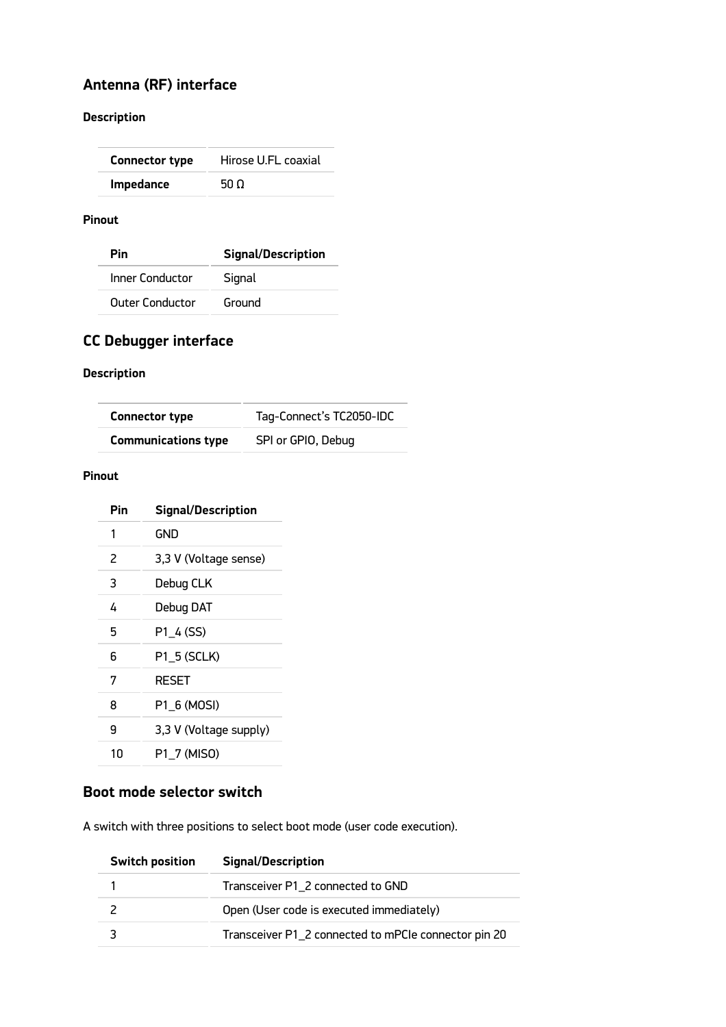## **Antenna (RF) interface**

#### **Description**

| Hirose U.FL coaxial |
|---------------------|
| 50 O                |
|                     |

#### **Pinout**

| Pin                    | <b>Signal/Description</b> |
|------------------------|---------------------------|
| Inner Conductor        | Signal                    |
| <b>Outer Conductor</b> | Ground                    |

### **CC Debugger interface**

#### **Description**

| <b>Connector type</b>      | Tag-Connect's TC2050-IDC |
|----------------------------|--------------------------|
| <b>Communications type</b> | SPI or GPIO, Debug       |

#### **Pinout**

| Pin | <b>Signal/Description</b> |
|-----|---------------------------|
| 1   | GND                       |
| 2   | 3,3 V (Voltage sense)     |
| 3   | Debug CLK                 |
| 4   | Debug DAT                 |
| 5   | P1_4 (SS)                 |
| 6   | P1 5 (SCLK)               |
| 7   | <b>RESET</b>              |
| 8   | P1 6 (MOSI)               |
| 9   | 3,3 V (Voltage supply)    |
| 10  | P1 7 (MISO)               |

#### **Boot mode selector switch**

A switch with three positions to select boot mode (user code execution).

| <b>Switch position</b> | <b>Signal/Description</b>                            |
|------------------------|------------------------------------------------------|
|                        | Transceiver P1_2 connected to GND                    |
|                        | Open (User code is executed immediately)             |
|                        | Transceiver P1_2 connected to mPCIe connector pin 20 |
|                        |                                                      |